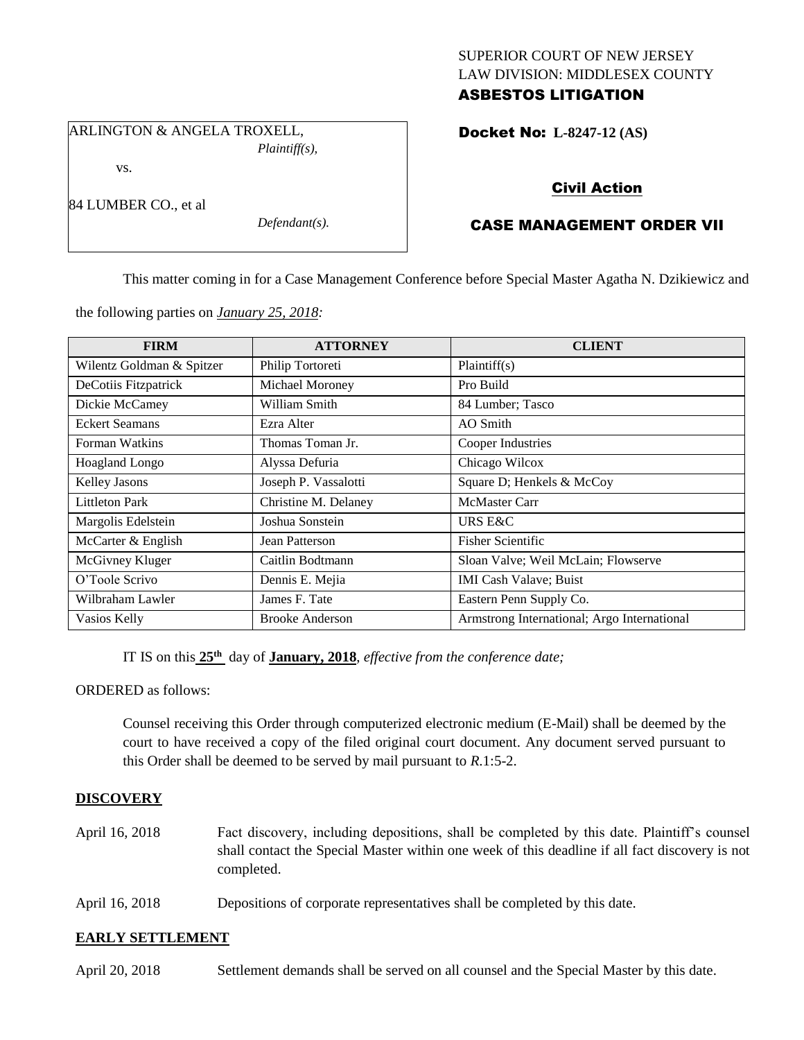## SUPERIOR COURT OF NEW JERSEY LAW DIVISION: MIDDLESEX COUNTY ASBESTOS LITIGATION

Docket No: **L-8247-12 (AS)** 

ARLINGTON & ANGELA TROXELL,

vs.

84 LUMBER CO., et al

*Plaintiff(s),*

*Defendant(s).*

Civil Action

# CASE MANAGEMENT ORDER VII

This matter coming in for a Case Management Conference before Special Master Agatha N. Dzikiewicz and

the following parties on *January 25, 2018:*

| <b>FIRM</b>               | <b>ATTORNEY</b>        | <b>CLIENT</b>                               |
|---------------------------|------------------------|---------------------------------------------|
| Wilentz Goldman & Spitzer | Philip Tortoreti       | Plaintiff(s)                                |
| DeCotiis Fitzpatrick      | Michael Moroney        | Pro Build                                   |
| Dickie McCamey            | William Smith          | 84 Lumber; Tasco                            |
| <b>Eckert Seamans</b>     | Ezra Alter             | AO Smith                                    |
| Forman Watkins            | Thomas Toman Jr.       | Cooper Industries                           |
| Hoagland Longo            | Alyssa Defuria         | Chicago Wilcox                              |
| Kelley Jasons             | Joseph P. Vassalotti   | Square D; Henkels & McCoy                   |
| <b>Littleton Park</b>     | Christine M. Delaney   | <b>McMaster Carr</b>                        |
| Margolis Edelstein        | Joshua Sonstein        | URS E&C                                     |
| McCarter & English        | Jean Patterson         | <b>Fisher Scientific</b>                    |
| McGivney Kluger           | Caitlin Bodtmann       | Sloan Valve; Weil McLain; Flowserve         |
| O'Toole Scrivo            | Dennis E. Mejia        | <b>IMI Cash Valave; Buist</b>               |
| Wilbraham Lawler          | James F. Tate          | Eastern Penn Supply Co.                     |
| Vasios Kelly              | <b>Brooke Anderson</b> | Armstrong International; Argo International |

IT IS on this **25th** day of **January, 2018**, *effective from the conference date;*

ORDERED as follows:

Counsel receiving this Order through computerized electronic medium (E-Mail) shall be deemed by the court to have received a copy of the filed original court document. Any document served pursuant to this Order shall be deemed to be served by mail pursuant to *R*.1:5-2.

## **DISCOVERY**

- April 16, 2018 Fact discovery, including depositions, shall be completed by this date. Plaintiff's counsel shall contact the Special Master within one week of this deadline if all fact discovery is not completed.
- April 16, 2018 Depositions of corporate representatives shall be completed by this date.

## **EARLY SETTLEMENT**

April 20, 2018 Settlement demands shall be served on all counsel and the Special Master by this date.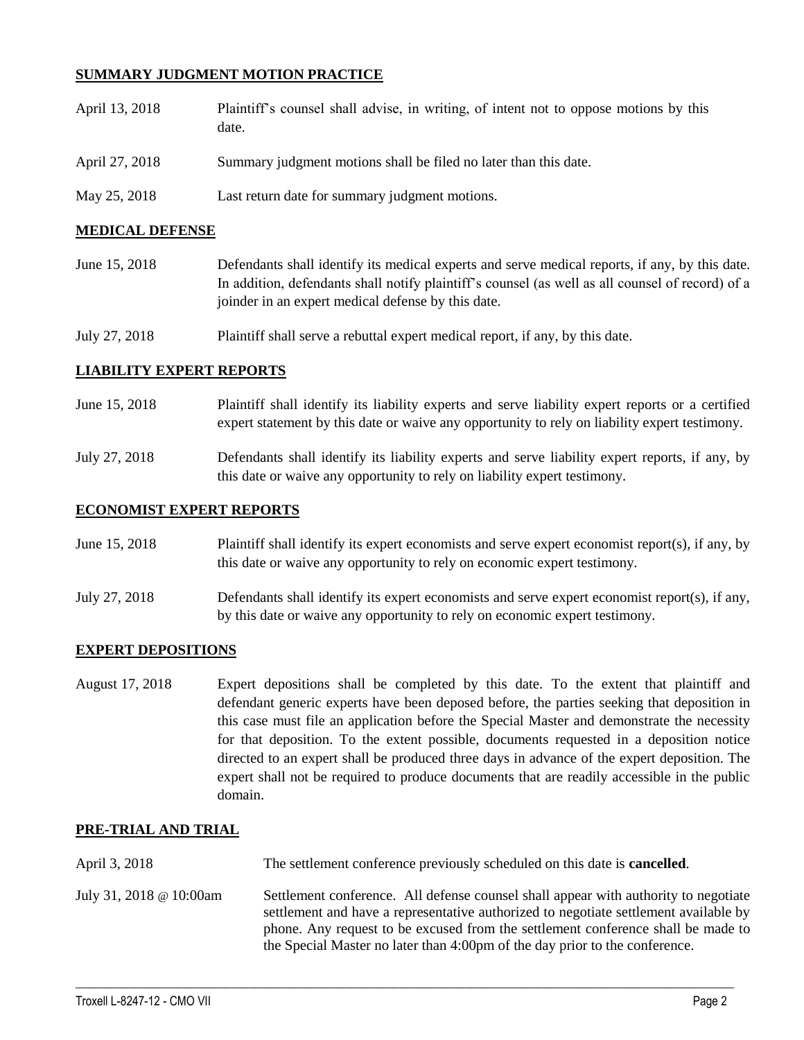## **SUMMARY JUDGMENT MOTION PRACTICE**

| April 13, 2018 | Plaintiff's counsel shall advise, in writing, of intent not to oppose motions by this<br>date. |
|----------------|------------------------------------------------------------------------------------------------|
| April 27, 2018 | Summary judgment motions shall be filed no later than this date.                               |
| May 25, 2018   | Last return date for summary judgment motions.                                                 |

## **MEDICAL DEFENSE**

June 15, 2018 Defendants shall identify its medical experts and serve medical reports, if any, by this date. In addition, defendants shall notify plaintiff's counsel (as well as all counsel of record) of a joinder in an expert medical defense by this date.

July 27, 2018 Plaintiff shall serve a rebuttal expert medical report, if any, by this date.

### **LIABILITY EXPERT REPORTS**

- June 15, 2018 Plaintiff shall identify its liability experts and serve liability expert reports or a certified expert statement by this date or waive any opportunity to rely on liability expert testimony.
- July 27, 2018 Defendants shall identify its liability experts and serve liability expert reports, if any, by this date or waive any opportunity to rely on liability expert testimony.

### **ECONOMIST EXPERT REPORTS**

- June 15, 2018 Plaintiff shall identify its expert economists and serve expert economist report(s), if any, by this date or waive any opportunity to rely on economic expert testimony.
- July 27, 2018 Defendants shall identify its expert economists and serve expert economist report(s), if any, by this date or waive any opportunity to rely on economic expert testimony.

### **EXPERT DEPOSITIONS**

August 17, 2018 Expert depositions shall be completed by this date. To the extent that plaintiff and defendant generic experts have been deposed before, the parties seeking that deposition in this case must file an application before the Special Master and demonstrate the necessity for that deposition. To the extent possible, documents requested in a deposition notice directed to an expert shall be produced three days in advance of the expert deposition. The expert shall not be required to produce documents that are readily accessible in the public domain.

### **PRE-TRIAL AND TRIAL**

April 3, 2018 The settlement conference previously scheduled on this date is **cancelled**. July 31, 2018 @ 10:00am Settlement conference. All defense counsel shall appear with authority to negotiate settlement and have a representative authorized to negotiate settlement available by phone. Any request to be excused from the settlement conference shall be made to the Special Master no later than 4:00pm of the day prior to the conference.

 $\_$  ,  $\_$  ,  $\_$  ,  $\_$  ,  $\_$  ,  $\_$  ,  $\_$  ,  $\_$  ,  $\_$  ,  $\_$  ,  $\_$  ,  $\_$  ,  $\_$  ,  $\_$  ,  $\_$  ,  $\_$  ,  $\_$  ,  $\_$  ,  $\_$  ,  $\_$  ,  $\_$  ,  $\_$  ,  $\_$  ,  $\_$  ,  $\_$  ,  $\_$  ,  $\_$  ,  $\_$  ,  $\_$  ,  $\_$  ,  $\_$  ,  $\_$  ,  $\_$  ,  $\_$  ,  $\_$  ,  $\_$  ,  $\_$  ,